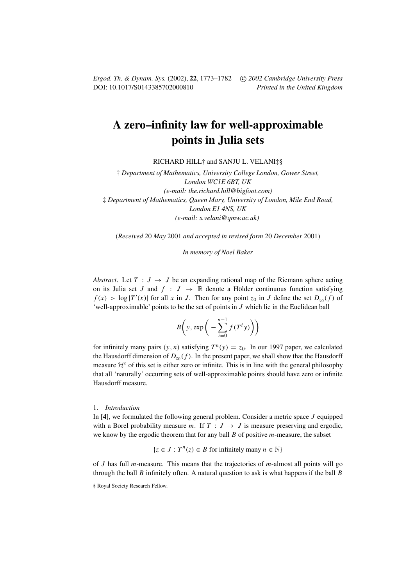*Ergod. Th. & Dynam. Sys.* (2002), **22**, 1773–1782 c *2002 Cambridge University Press* DOI: 10.1017/S0143385702000810 *Printed in the United Kingdom*

# **A zero–infinity law for well-approximable points in Julia sets**

RICHARD HILL† and SANJU L. VELANI‡§

† *Department of Mathematics, University College London, Gower Street, London WC1E 6BT, UK (e-mail: the.richard.hill@bigfoot.com)* ‡ *Department of Mathematics, Queen Mary, University of London, Mile End Road, London E1 4NS, UK (e-mail: s.velani@qmw.ac.uk)*

(*Received* 20 *May* 2001 *and accepted in revised form* 20 *December* 2001)

*In memory of Noel Baker*

*Abstract.* Let  $T : J \rightarrow J$  be an expanding rational map of the Riemann sphere acting on its Julia set J and  $f : J \to \mathbb{R}$  denote a Hölder continuous function satisfying  $f(x) > \log |T'(x)|$  for all x in J. Then for any point  $z_0$  in J define the set  $D_{z_0}(f)$  of 'well-approximable' points to be the set of points in J which lie in the Euclidean ball

$$
B\bigg(y,\exp\bigg(-\sum_{i=0}^{n-1}f(T^iy)\bigg)\bigg)
$$

for infinitely many pairs  $(y, n)$  satisfying  $T^n(y) = z_0$ . In our 1997 paper, we calculated the Hausdorff dimension of  $D_{z_0}(f)$ . In the present paper, we shall show that the Hausdorff measure  $\mathcal{H}^s$  of this set is either zero or infinite. This is in line with the general philosophy that all 'naturally' occurring sets of well-approximable points should have zero or infinite Hausdorff measure.

### 1. *Introduction*

In [**4**], we formulated the following general problem. Consider a metric space J equipped with a Borel probability measure m. If  $T : J \rightarrow J$  is measure preserving and ergodic, we know by the ergodic theorem that for any ball  $B$  of positive  $m$ -measure, the subset

$$
\{z \in J : T^n(z) \in B \text{ for infinitely many } n \in \mathbb{N}\}\
$$

of J has full m-measure. This means that the trajectories of m-almost all points will go through the ball  $B$  infinitely often. A natural question to ask is what happens if the ball  $B$ 

<sup>§</sup> Royal Society Research Fellow.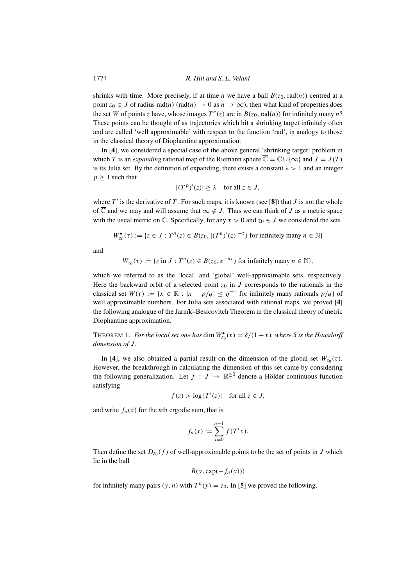shrinks with time. More precisely, if at time *n* we have a ball  $B(z_0, rad(n))$  centred at a point  $z_0 \in J$  of radius rad(n) (rad(n)  $\rightarrow 0$  as  $n \rightarrow \infty$ ), then what kind of properties does the set W of points z have, whose images  $T^n(z)$  are in  $B(z_0, rad(n))$  for infinitely many n? These points can be thought of as trajectories which hit a shrinking target infinitely often and are called 'well approximable' with respect to the function 'rad', in analogy to those in the classical theory of Diophantine approximation.

In [**4**], we considered a special case of the above general 'shrinking target' problem in which T is an *expanding* rational map of the Riemann sphere  $\overline{\mathbb{C}} = \mathbb{C} \cup \{\infty\}$  and  $J = J(T)$ is its Julia set. By the definition of expanding, there exists a constant  $\lambda > 1$  and an integer  $p \geq 1$  such that

$$
|(Tp)'(z)| \ge \lambda \quad \text{for all } z \in J,
$$

where  $T'$  is the derivative of T. For such maps, it is known (see [8]) that J is not the whole of  $\overline{\mathbb{C}}$  and we may and will assume that  $\infty \notin J$ . Thus we can think of J as a metric space with the usual metric on  $\mathbb C$ . Specifically, for any  $\tau > 0$  and  $z_0 \in J$  we considered the sets

$$
W_{z_0}^{\bullet}(\tau) := \{ z \in J : T^n(z) \in B(z_0, |(T^n)'(z)|^{-\tau}) \text{ for infinitely many } n \in \mathbb{N} \}
$$

and

$$
W_{z_0}(\tau) := \{ z \text{ in } J : T^n(z) \in B(z_0, e^{-n\tau}) \text{ for infinitely many } n \in \mathbb{N} \},
$$

which we referred to as the 'local' and 'global' well-approximable sets, respectively. Here the backward orbit of a selected point  $z_0$  in J corresponds to the rationals in the classical set  $W(\tau) := \{x \in \mathbb{R} : |x - p/q| \leq q^{-\tau} \text{ for infinitely many rationals } p/q \}$  of well approximable numbers. For Julia sets associated with rational maps, we proved [**4**] the following analogue of the Jarník–Besicovitch Theorem in the classical theory of metric Diophantine approximation.

THEOREM 1. *For the local set one has* dim  $W_{z_0}^{\bullet}(\tau) = \delta/(1+\tau)$ *, where*  $\delta$  *is the Hausdorff dimension of J.* 

In [4], we also obtained a partial result on the dimension of the global set  $W_{z_0}(\tau)$ . However, the breakthrough in calculating the dimension of this set came by considering the following generalization. Let  $f : J \to \mathbb{R}^{\geq 0}$  denote a Hölder continuous function satisfying

$$
f(z) > \log |T'(z)| \quad \text{for all } z \in J,
$$

and write  $f_n(x)$  for the *n*th ergodic sum, that is

$$
f_n(x) := \sum_{i=0}^{n-1} f(T^i x).
$$

Then define the set  $D_{z_0}(f)$  of well-approximable points to be the set of points in J which lie in the ball

$$
B(y, \exp(-f_n(y)))
$$

for infinitely many pairs  $(y, n)$  with  $T<sup>n</sup>(y) = z<sub>0</sub>$ . In [5] we proved the following.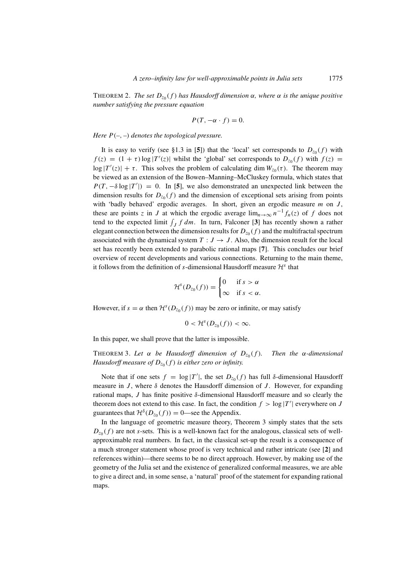THEOREM 2. *The set*  $D_{z_0}(f)$  *has Hausdorff dimension*  $\alpha$ *, where*  $\alpha$  *is the unique positive number satisfying the pressure equation*

$$
P(T, -\alpha \cdot f) = 0.
$$

*Here*  $P(-, -)$  *denotes the topological pressure.* 

It is easy to verify (see §1.3 in [5]) that the 'local' set corresponds to  $D_{70}(f)$  with  $f(z) = (1 + \tau) \log |T'(z)|$  whilst the 'global' set corresponds to  $D_{z_0}(f)$  with  $f(z) =$  $\log |T'(z)| + \tau$ . This solves the problem of calculating dim  $W_{z_0}(\tau)$ . The theorem may be viewed as an extension of the Bowen–Manning–McCluskey formula, which states that  $P(T, -\delta \log |T'|) = 0$ . In [5], we also demonstrated an unexpected link between the dimension results for  $D_{z_0}(f)$  and the dimension of exceptional sets arising from points with 'badly behaved' ergodic averages. In short, given an ergodic measure  $m$  on  $J$ , these are points z in J at which the ergodic average  $\lim_{n\to\infty} n^{-1}f_n(z)$  of f does not tend to the expected limit  $\int_J f dm$ . In turn, Falconer [3] has recently shown a rather elegant connection between the dimension results for  $D_{z_0}(f)$  and the multifractal spectrum associated with the dynamical system  $T : J \rightarrow J$ . Also, the dimension result for the local set has recently been extended to parabolic rational maps [**7**]. This concludes our brief overview of recent developments and various connections. Returning to the main theme, it follows from the definition of s-dimensional Hausdorff measure  $\mathcal{H}^s$  that

$$
\mathcal{H}^s(D_{z_0}(f)) = \begin{cases} 0 & \text{if } s > \alpha \\ \infty & \text{if } s < \alpha. \end{cases}
$$

However, if  $s = \alpha$  then  $\mathcal{H}^s(D_{z_0}(f))$  may be zero or infinite, or may satisfy

$$
0<\mathcal{H}^s(D_{z_0}(f))<\infty.
$$

In this paper, we shall prove that the latter is impossible.

THEOREM 3. Let  $\alpha$  be Hausdorff dimension of  $D_{z_0}(f)$ . Then the  $\alpha$ -dimensional *Hausdorff measure of*  $D_{z_0}(f)$  *is either zero or infinity.* 

Note that if one sets  $f = \log |T'|$ , the set  $D_{z_0}(f)$  has full  $\delta$ -dimensional Hausdorff measure in J, where  $\delta$  denotes the Hausdorff dimension of J. However, for expanding rational maps, J has finite positive  $\delta$ -dimensional Hausdorff measure and so clearly the theorem does not extend to this case. In fact, the condition  $f > \log |T'|$  everywhere on J guarantees that  $\mathcal{H}^{\delta}(D_{z_0}(f)) = 0$ —see the Appendix.

In the language of geometric measure theory, Theorem 3 simply states that the sets  $D_{70} (f)$  are not s-sets. This is a well-known fact for the analogous, classical sets of wellapproximable real numbers. In fact, in the classical set-up the result is a consequence of a much stronger statement whose proof is very technical and rather intricate (see [**2**] and references within)—there seems to be no direct approach. However, by making use of the geometry of the Julia set and the existence of generalized conformal measures, we are able to give a direct and, in some sense, a 'natural' proof of the statement for expanding rational maps.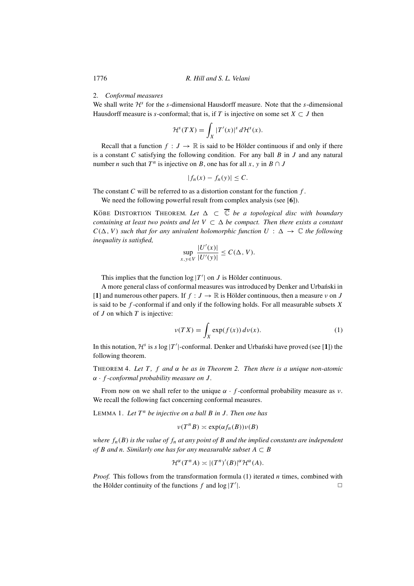## 2. *Conformal measures*

We shall write  $\mathcal{H}^s$  for the s-dimensional Hausdorff measure. Note that the s-dimensional Hausdorff measure is s-conformal; that is, if T is injective on some set  $X \subset J$  then

$$
\mathcal{H}^{s}(TX) = \int_{X} |T'(x)|^{s} d\mathcal{H}^{s}(x).
$$

Recall that a function  $f : J \to \mathbb{R}$  is said to be Hölder continuous if and only if there is a constant  $C$  satisfying the following condition. For any ball  $B$  in  $J$  and any natural number *n* such that  $T^n$  is injective on B, one has for all x, y in B ∩ J

$$
|f_n(x) - f_n(y)| \leq C.
$$

The constant  $C$  will be referred to as a distortion constant for the function  $f$ .

We need the following powerful result from complex analysis (see [**6**]).

KÖBE DISTORTION THEOREM. Let  $\Delta \subset \overline{\mathbb{C}}$  be a topological disc with boundary *containing at least two points and let*  $V \subset \Delta$  *be compact. Then there exists a constant*  $C(\Delta, V)$  *such that for any univalent holomorphic function*  $U : \Delta \rightarrow \mathbb{C}$  *the following inequality is satisfied,*

$$
\sup_{x,y\in V} \frac{|U'(x)|}{|U'(y)|} \le C(\Delta, V).
$$

This implies that the function  $log |T'|$  on J is Hölder continuous.

A more general class of conformal measures was introduced by Denker and Urbanski in [**1**] and numerous other papers. If  $f : J \to \mathbb{R}$  is Hölder continuous, then a measure v on J is said to be  $f$ -conformal if and only if the following holds. For all measurable subsets  $X$ of  $J$  on which  $T$  is injective:

$$
\nu(TX) = \int_X \exp(f(x)) \, d\nu(x). \tag{1}
$$

In this notation,  $\mathcal{H}^s$  is s log |T'|-conformal. Denker and Urbanski have proved (see [1]) the following theorem.

THEOREM 4. *Let* T *,* f *and* α *be as in Theorem 2. Then there is a unique non-atomic* α · f *-conformal probability measure on* J *.*

From now on we shall refer to the unique  $\alpha \cdot f$ -conformal probability measure as  $\nu$ . We recall the following fact concerning conformal measures.

LEMMA 1. Let  $T^n$  be injective on a ball  $B$  in  $J$ . Then one has

$$
\nu(T^nB)\asymp \exp(\alpha f_n(B))\nu(B)
$$

*where*  $f_n(B)$  *is the value of*  $f_n$  *at any point of B and the implied constants are independent of* B and n. Similarly one has for any measurable subset  $A \subset B$ 

$$
\mathcal{H}^{\alpha}(T^nA) \asymp |(T^n)'(B)|^{\alpha} \mathcal{H}^{\alpha}(A).
$$

*Proof.* This follows from the transformation formula (1) iterated *n* times, combined with the Hölder continuity of the functions f and  $log |T'|$ .  $\Box$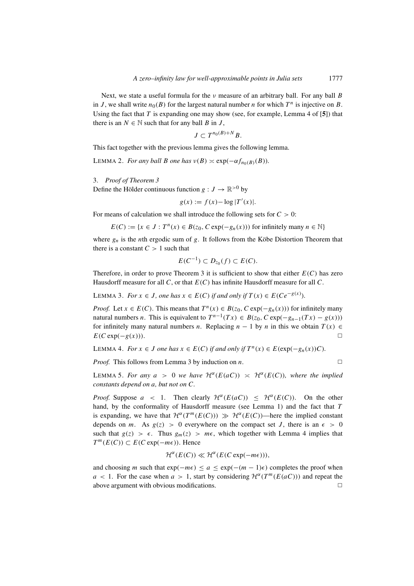Next, we state a useful formula for the  $\nu$  measure of an arbitrary ball. For any ball B in J, we shall write  $n_0(B)$  for the largest natural number n for which  $T^n$  is injective on B. Using the fact that T is expanding one may show (see, for example, Lemma 4 of  $[5]$ ) that there is an  $N \in \mathbb{N}$  such that for any ball B in J,

$$
J\subset T^{n_0(B)+N}B.
$$

This fact together with the previous lemma gives the following lemma.

LEMMA 2. *For any ball B one has*  $v(B) \simeq \exp(-\alpha f_{n_0(B)}(B))$ .

3. *Proof of Theorem 3*

Define the Hölder continuous function  $g: J \to \mathbb{R}^{>0}$  by

$$
g(x) := f(x) - \log |T'(x)|.
$$

For means of calculation we shall introduce the following sets for  $C > 0$ :

 $E(C) := \{x \in J : T^n(x) \in B(z_0, C \exp(-\frac{g_n(x)}{g_n(x)})\}$  for infinitely many  $n \in \mathbb{N}\}$ 

where  $g_n$  is the *n*th ergodic sum of g. It follows from the Köbe Distortion Theorem that there is a constant  $C > 1$  such that

$$
E(C^{-1}) \subset D_{z_0}(f) \subset E(C).
$$

Therefore, in order to prove Theorem 3 it is sufficient to show that either  $E(C)$  has zero Hausdorff measure for all  $C$ , or that  $E(C)$  has infinite Hausdorff measure for all  $C$ .

LEMMA 3. *For*  $x \in J$ *, one has*  $x \in E(C)$  *if and only if*  $T(x) \in E(Ce^{-g(x)})$ *.* 

*Proof.* Let  $x \in E(C)$ . This means that  $T^n(x) \in B(z_0, C \exp(-g_n(x)))$  for infinitely many natural numbers *n*. This is equivalent to  $T^{n-1}(Tx) \in B(z_0, C \exp(-g_{n-1}(Tx) - g(x)))$ for infinitely many natural numbers *n*. Replacing  $n - 1$  by *n* in this we obtain  $T(x) \in$  $E(C \exp(-g(x))).$ 

LEMMA 4. *For*  $x \in J$  *one has*  $x \in E(C)$  *if and only if*  $T^n(x) \in E(\exp(-g_n(x))C)$ *.* 

*Proof.* This follows from Lemma 3 by induction on *n*.  $\square$ 

LEMMA 5. For any  $a > 0$  we have  $\mathcal{H}^{\alpha}(E(aC)) \simeq \mathcal{H}^{\alpha}(E(C))$ , where the implied *constants depend on* a*, but not on* C*.*

*Proof.* Suppose  $a \leq 1$ . Then clearly  $\mathcal{H}^{\alpha}(E(aC)) \leq \mathcal{H}^{\alpha}(E(C))$ . On the other hand, by the conformality of Hausdorff measure (see Lemma 1) and the fact that T is expanding, we have that  $\mathcal{H}^{\alpha}(T^m(E(C))) \gg \mathcal{H}^{\alpha}(E(C))$ —here the implied constant depends on m. As  $g(z) > 0$  everywhere on the compact set J, there is an  $\epsilon > 0$ such that  $g(z) > \epsilon$ . Thus  $g_m(z) > m\epsilon$ , which together with Lemma 4 implies that  $T^m(E(C)) \subset E(C \exp(-m\epsilon))$ . Hence

$$
\mathcal{H}^{\alpha}(E(C)) \ll \mathcal{H}^{\alpha}(E(C \exp(-m\epsilon))),
$$

and choosing m such that  $exp(-m\epsilon) \le a \le exp(-(m-1)\epsilon)$  completes the proof when  $a < 1$ . For the case when  $a > 1$ , start by considering  $\mathcal{H}^{\alpha}(T^{m}(E(aC)))$  and repeat the above argument with obvious modifications above argument with obvious modifications.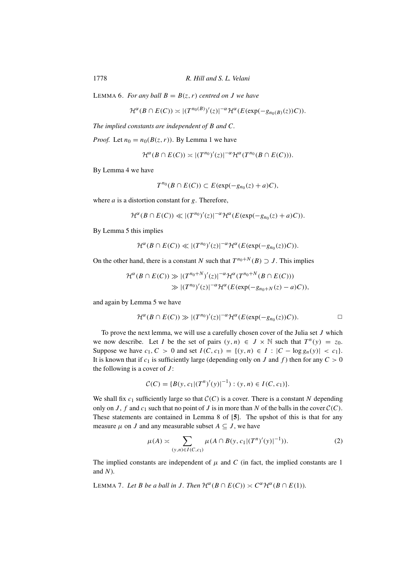LEMMA 6. *For any ball*  $B = B(z, r)$  *centred on J we have* 

$$
\mathcal{H}^{\alpha}(B \cap E(C)) \asymp |(T^{n_0(B)})'(z)|^{-\alpha} \mathcal{H}^{\alpha}(E(\exp(-g_{n_0(B)}(z))C)).
$$

*The implied constants are independent of* B *and* C*.*

*Proof.* Let  $n_0 = n_0(B(z, r))$ . By Lemma 1 we have

$$
\mathcal{H}^{\alpha}(B \cap E(C)) \asymp |(T^{n_0})'(z)|^{-\alpha} \mathcal{H}^{\alpha}(T^{n_0}(B \cap E(C))).
$$

By Lemma 4 we have

$$
T^{n_0}(B \cap E(C)) \subset E(\exp(-g_{n_0}(z) + a)C),
$$

where  $a$  is a distortion constant for  $g$ . Therefore,

$$
\mathcal{H}^{\alpha}(B \cap E(C)) \ll |(T^{n_0})'(z)|^{-\alpha} \mathcal{H}^{\alpha}(E(\exp(-g_{n_0}(z) + a)C)).
$$

By Lemma 5 this implies

$$
\mathcal{H}^{\alpha}(B \cap E(C)) \ll |(T^{n_0})'(z)|^{-\alpha} \mathcal{H}^{\alpha}(E(\exp(-g_{n_0}(z))C)).
$$

On the other hand, there is a constant N such that  $T^{n_0+N}(B) \supset J$ . This implies

$$
\mathcal{H}^{\alpha}(B \cap E(C)) \gg |(T^{n_0+N})'(z)|^{-\alpha} \mathcal{H}^{\alpha}(T^{n_0+N}(B \cap E(C)))
$$
  

$$
\gg |(T^{n_0})'(z)|^{-\alpha} \mathcal{H}^{\alpha}(E(\exp(-g_{n_0+N}(z)-a)C)),
$$

and again by Lemma 5 we have

$$
\mathcal{H}^{\alpha}(B \cap E(C)) \gg |(T^{n_0})'(z)|^{-\alpha} \mathcal{H}^{\alpha}(E(\exp(-g_{n_0}(z))C)). \Box
$$

To prove the next lemma, we will use a carefully chosen cover of the Julia set  $J$  which we now describe. Let I be the set of pairs  $(y, n) \in J \times \mathbb{N}$  such that  $T^n(y) = z_0$ . Suppose we have  $c_1, C > 0$  and set  $I(C, c_1) = \{(y, n) \in I : |C - \log g_n(y)| < c_1\}.$ It is known that if  $c_1$  is sufficiently large (depending only on J and f) then for any  $C > 0$ the following is a cover of  $J$ :

$$
C(C) = \{B(y, c_1 | (T^n)'(y)|^{-1}) : (y, n) \in I(C, c_1)\}.
$$

We shall fix  $c_1$  sufficiently large so that  $C(C)$  is a cover. There is a constant N depending only on  $J$ ,  $f$  and  $c_1$  such that no point of  $J$  is in more than  $N$  of the balls in the cover  $\mathcal{C}(C)$ . These statements are contained in Lemma 8 of [**5**]. The upshot of this is that for any measure  $\mu$  on J and any measurable subset  $A \subseteq J$ , we have

$$
\mu(A) \asymp \sum_{(y,n)\in I(C,c_1)} \mu(A \cap B(y,c_1|(T^n)'(y)|^{-1})).
$$
\n(2)

The implied constants are independent of  $\mu$  and C (in fact, the implied constants are 1 and  $N$ ).

LEMMA 7. Let *B* be a ball in *J*. Then  $\mathcal{H}^{\alpha}(B \cap E(C)) \asymp C^{\alpha} \mathcal{H}^{\alpha}(B \cap E(1))$ .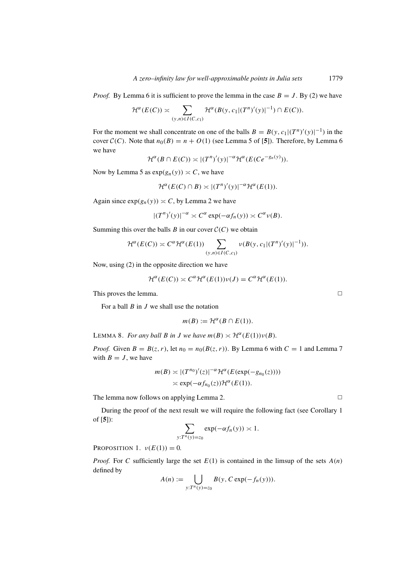*Proof.* By Lemma 6 it is sufficient to prove the lemma in the case  $B = J$ . By (2) we have

$$
\mathcal{H}^{\alpha}(E(C)) \asymp \sum_{(y,n)\in I(C,c_1)} \mathcal{H}^{\alpha}(B(y,c_1|(T^n)'(y)|^{-1}) \cap E(C)).
$$

For the moment we shall concentrate on one of the balls  $B = B(y, c_1 | (T^n)'(y)|^{-1})$  in the cover  $C(C)$ . Note that  $n_0(B) = n + O(1)$  (see Lemma 5 of [5]). Therefore, by Lemma 6 we have

$$
\mathcal{H}^{\alpha}(B \cap E(C)) \asymp |(T^n)'(y)|^{-\alpha} \mathcal{H}^{\alpha}(E(Ce^{-g_n(y)})).
$$

Now by Lemma 5 as  $exp(g_n(y)) \simeq C$ , we have

$$
\mathcal{H}^{\alpha}(E(C) \cap B) \asymp |(T^n)'(y)|^{-\alpha} \mathcal{H}^{\alpha}(E(1)).
$$

Again since  $exp(g_n(y)) \simeq C$ , by Lemma 2 we have

$$
|(T^n)'(y)|^{-\alpha} \asymp C^{\alpha} \exp(-\alpha f_n(y)) \asymp C^{\alpha} \nu(B).
$$

Summing this over the balls  $B$  in our cover  $C(C)$  we obtain

$$
\mathcal{H}^{\alpha}(E(C)) \asymp C^{\alpha} \mathcal{H}^{\alpha}(E(1)) \sum_{(y,n)\in I(C,c_1)} \nu(B(y,c_1|(T^n)'(y)|^{-1})).
$$

Now, using (2) in the opposite direction we have

$$
\mathcal{H}^{\alpha}(E(C)) \simeq C^{\alpha} \mathcal{H}^{\alpha}(E(1)) \nu(J) = C^{\alpha} \mathcal{H}^{\alpha}(E(1)).
$$

This proves the lemma.  $\Box$ 

For a ball  $B$  in  $J$  we shall use the notation

$$
m(B) := \mathcal{H}^{\alpha}(B \cap E(1)).
$$

LEMMA 8. *For any ball B in J we have*  $m(B) \approx \mathcal{H}^{\alpha}(E(1))\nu(B)$ *.* 

*Proof.* Given  $B = B(z, r)$ , let  $n_0 = n_0(B(z, r))$ . By Lemma 6 with  $C = 1$  and Lemma 7 with  $B = J$ , we have

$$
m(B) \asymp |(T^{n_0})'(z)|^{-\alpha} \mathcal{H}^{\alpha}(E(\exp(-g_{n_0}(z))))
$$
  
 
$$
\asymp \exp(-\alpha f_{n_0}(z)) \mathcal{H}^{\alpha}(E(1)).
$$

The lemma now follows on applying Lemma 2.  $\Box$ 

During the proof of the next result we will require the following fact (see Corollary 1 of [**5**]):

$$
\sum_{y:T^n(y)=z_0} \exp(-\alpha f_n(y)) \asymp 1.
$$

PROPOSITION 1.  $v(E(1)) = 0$ .

*Proof.* For C sufficiently large the set  $E(1)$  is contained in the limsup of the sets  $A(n)$ defined by

$$
A(n) := \bigcup_{y: T^n(y) = z_0} B(y, C \exp(-f_n(y))).
$$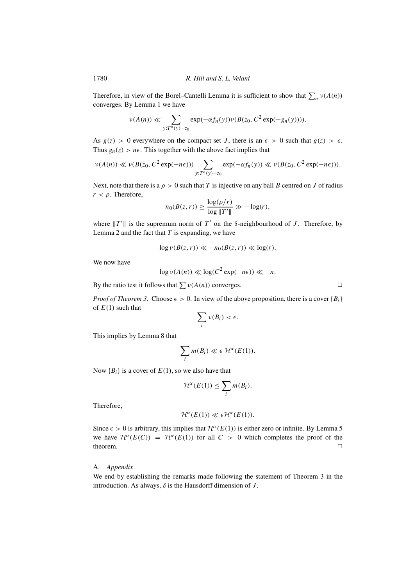Therefore, in view of the Borel–Cantelli Lemma it is sufficient to show that  $\sum_n v(A(n))$ converges. By Lemma 1 we have

$$
\nu(A(n)) \ll \sum_{y:T^n(y)=z_0} \exp(-\alpha f_n(y)) \nu(B(z_0, C^2 \exp(-g_n(y))))
$$

As  $g(z) > 0$  everywhere on the compact set J, there is an  $\epsilon > 0$  such that  $g(z) > \epsilon$ . Thus  $g_n(z) > n\epsilon$ . This together with the above fact implies that

$$
\nu(A(n)) \ll \nu(B(z_0, C^2 \exp(-n\epsilon))) \sum_{y: T^n(y)=z_0} \exp(-\alpha f_n(y)) \ll \nu(B(z_0, C^2 \exp(-n\epsilon))).
$$

Next, note that there is a  $\rho > 0$  such that T is injective on any ball B centred on J of radius  $r < \rho$ . Therefore,

$$
n_0(B(z,r)) \ge \frac{\log(\rho/r)}{\log \|T'\|} \gg -\log(r),
$$

where  $||T'||$  is the supremum norm of  $T'$  on the  $\delta$ -neighbourhood of J. Therefore, by Lemma 2 and the fact that  $T$  is expanding, we have

$$
\log \nu(B(z,r)) \ll -n_0(B(z,r)) \ll \log(r).
$$

We now have

$$
\log \nu(A(n)) \ll \log(C^2 \exp(-n\epsilon)) \ll -n.
$$

By the ratio test it follows that  $\sum v(A(n))$  converges.

*Proof of Theorem 3.* Choose  $\epsilon > 0$ . In view of the above proposition, there is a cover  $\{B_i\}$ of  $E(1)$  such that

$$
\sum_i v(B_i) < \epsilon.
$$

This implies by Lemma 8 that

$$
\sum_i m(B_i) \ll \epsilon \mathcal{H}^{\alpha}(E(1)).
$$

Now  ${B_i}$  is a cover of  $E(1)$ , so we also have that

$$
\mathcal{H}^{\alpha}(E(1)) \leq \sum_{i} m(B_i).
$$

Therefore,

$$
\mathcal{H}^{\alpha}(E(1)) \ll \epsilon \mathcal{H}^{\alpha}(E(1)).
$$

Since  $\epsilon > 0$  is arbitrary, this implies that  $\mathcal{H}^{\alpha}(E(1))$  is either zero or infinite. By Lemma 5 we have  $\mathcal{H}^{\alpha}(E(C)) = \mathcal{H}^{\alpha}(E(1))$  for all  $C > 0$  which completes the proof of the theorem. theorem.  $\Box$ 

# A. *Appendix*

We end by establishing the remarks made following the statement of Theorem 3 in the introduction. As always,  $\delta$  is the Hausdorff dimension of  $J$ .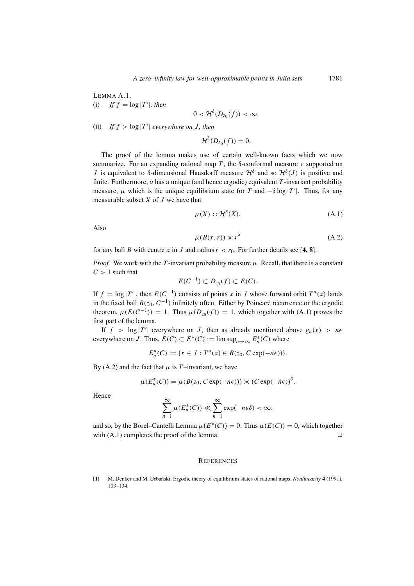LEMMA A.1. (i) If  $f = \log |T'|$ , then

$$
0<\mathcal{H}^{\delta}(D_{z_0}(f))<\infty.
$$

(ii) If  $f > \log |T'|$  everywhere on *J*, then

$$
\mathcal{H}^{\delta}(D_{z_0}(f))=0.
$$

The proof of the lemma makes use of certain well-known facts which we now summarize. For an expanding rational map T, the  $\delta$ -conformal measure  $\nu$  supported on J is equivalent to  $\delta$ -dimensional Hausdorff measure  $\mathcal{H}^{\delta}$  and so  $\mathcal{H}^{\delta}(J)$  is positive and finite. Furthermore,  $\nu$  has a unique (and hence ergodic) equivalent T-invariant probability measure,  $\mu$  which is the unique equilibrium state for T and  $-\delta \log |T'|$ . Thus, for any measurable subset  $X$  of  $J$  we have that

$$
\mu(X) \asymp \mathcal{H}^{\delta}(X). \tag{A.1}
$$

Also

$$
\mu(B(x, r)) \asymp r^{\delta} \tag{A.2}
$$

for any ball B with centre x in J and radius  $r < r_0$ . For further details see [4, 8].

*Proof.* We work with the T-invariant probability measure  $\mu$ . Recall, that there is a constant  $C > 1$  such that

$$
E(C^{-1}) \subset D_{z_0}(f) \subset E(C).
$$

If  $f = \log |T'|$ , then  $E(C^{-1})$  consists of points x in J whose forward orbit  $T^n(x)$  lands in the fixed ball  $B(z_0, C^{-1})$  infinitely often. Either by Poincaré recurrence or the ergodic theorem,  $\mu(E(C^{-1})) = 1$ . Thus  $\mu(D_{z_0}(f)) = 1$ , which together with (A.1) proves the first part of the lemma.

If  $f > \log |T'|$  everywhere on J, then as already mentioned above  $g_n(x) > n\epsilon$ everywhere on J. Thus,  $E(C) \subset E^*(C) := \limsup_{n \to \infty} E_n^*(C)$  where

 $E_n^*(C) := \{x \in J : T^n(x) \in B(z_0, C \exp(-n\epsilon))\}.$ 

By (A.2) and the fact that  $\mu$  is T-invariant, we have

$$
\mu(E_n^*(C)) = \mu(B(z_0, C \exp(-n\epsilon))) \asymp (C \exp(-n\epsilon))^{\delta}.
$$

Hence

$$
\sum_{n=1}^{\infty} \mu(E_n^*(C)) \ll \sum_{n=1}^{\infty} \exp(-n\epsilon \delta) < \infty,
$$

and so, by the Borel–Cantelli Lemma  $\mu(E^*(C)) = 0$ . Thus  $\mu(E(C)) = 0$ , which together with  $(A.1)$  completes the proof of the lemma.  $\Box$ 

#### **REFERENCES**

**[1]** M. Denker and M. Urba´nski. Ergodic theory of equilibrium states of rational maps. *Nonlinearity* **4** (1991), 103–134.